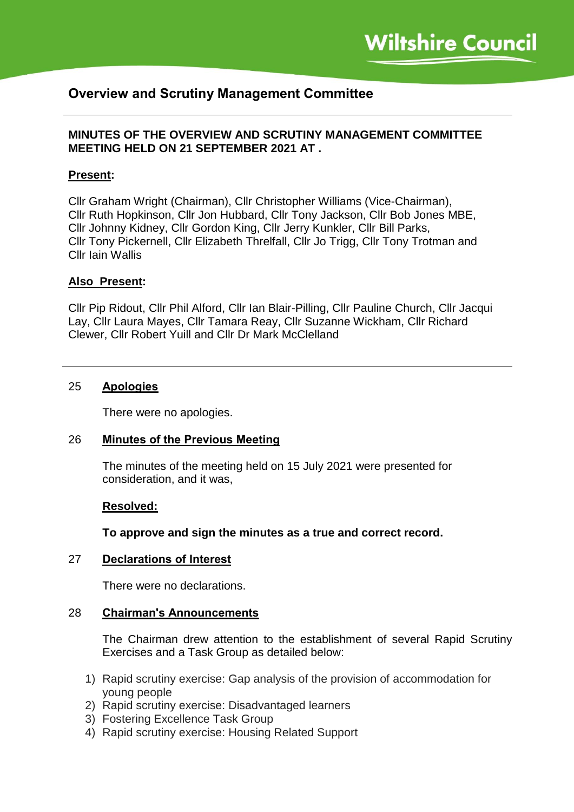# **Overview and Scrutiny Management Committee**

## **MINUTES OF THE OVERVIEW AND SCRUTINY MANAGEMENT COMMITTEE MEETING HELD ON 21 SEPTEMBER 2021 AT .**

## **Present:**

Cllr Graham Wright (Chairman), Cllr Christopher Williams (Vice-Chairman), Cllr Ruth Hopkinson, Cllr Jon Hubbard, Cllr Tony Jackson, Cllr Bob Jones MBE, Cllr Johnny Kidney, Cllr Gordon King, Cllr Jerry Kunkler, Cllr Bill Parks, Cllr Tony Pickernell, Cllr Elizabeth Threlfall, Cllr Jo Trigg, Cllr Tony Trotman and Cllr Iain Wallis

#### **Also Present:**

Cllr Pip Ridout, Cllr Phil Alford, Cllr Ian Blair-Pilling, Cllr Pauline Church, Cllr Jacqui Lay, Cllr Laura Mayes, Cllr Tamara Reay, Cllr Suzanne Wickham, Cllr Richard Clewer, Cllr Robert Yuill and Cllr Dr Mark McClelland

#### 25 **Apologies**

There were no apologies.

#### 26 **Minutes of the Previous Meeting**

The minutes of the meeting held on 15 July 2021 were presented for consideration, and it was,

#### **Resolved:**

**To approve and sign the minutes as a true and correct record.**

#### 27 **Declarations of Interest**

There were no declarations.

#### 28 **Chairman's Announcements**

The Chairman drew attention to the establishment of several Rapid Scrutiny Exercises and a Task Group as detailed below:

- 1) Rapid scrutiny exercise: Gap analysis of the provision of accommodation for young people
- 2) Rapid scrutiny exercise: Disadvantaged learners
- 3) Fostering Excellence Task Group
- 4) Rapid scrutiny exercise: Housing Related Support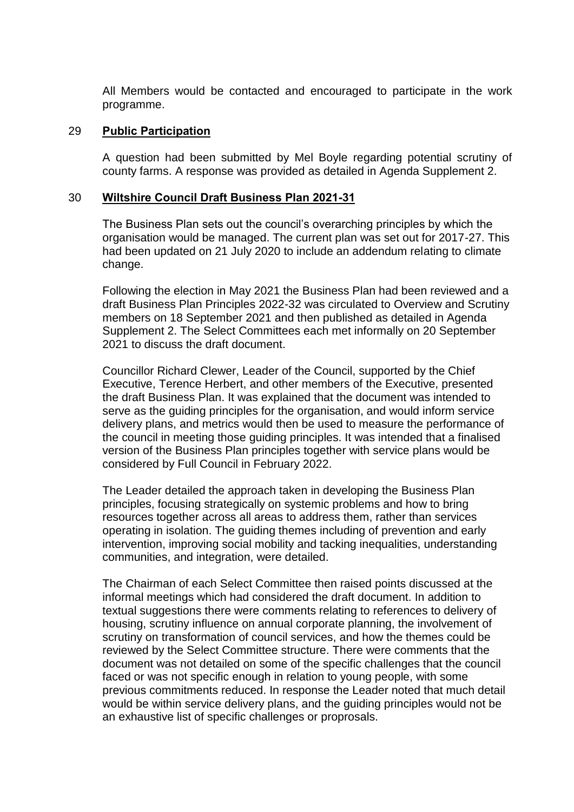All Members would be contacted and encouraged to participate in the work programme.

### 29 **Public Participation**

A question had been submitted by Mel Boyle regarding potential scrutiny of county farms. A response was provided as detailed in Agenda Supplement 2.

### 30 **Wiltshire Council Draft Business Plan 2021-31**

The Business Plan sets out the council's overarching principles by which the organisation would be managed. The current plan was set out for 2017-27. This had been updated on 21 July 2020 to include an addendum relating to climate change.

Following the election in May 2021 the Business Plan had been reviewed and a draft Business Plan Principles 2022-32 was circulated to Overview and Scrutiny members on 18 September 2021 and then published as detailed in Agenda Supplement 2. The Select Committees each met informally on 20 September 2021 to discuss the draft document.

Councillor Richard Clewer, Leader of the Council, supported by the Chief Executive, Terence Herbert, and other members of the Executive, presented the draft Business Plan. It was explained that the document was intended to serve as the guiding principles for the organisation, and would inform service delivery plans, and metrics would then be used to measure the performance of the council in meeting those guiding principles. It was intended that a finalised version of the Business Plan principles together with service plans would be considered by Full Council in February 2022.

The Leader detailed the approach taken in developing the Business Plan principles, focusing strategically on systemic problems and how to bring resources together across all areas to address them, rather than services operating in isolation. The guiding themes including of prevention and early intervention, improving social mobility and tacking inequalities, understanding communities, and integration, were detailed.

The Chairman of each Select Committee then raised points discussed at the informal meetings which had considered the draft document. In addition to textual suggestions there were comments relating to references to delivery of housing, scrutiny influence on annual corporate planning, the involvement of scrutiny on transformation of council services, and how the themes could be reviewed by the Select Committee structure. There were comments that the document was not detailed on some of the specific challenges that the council faced or was not specific enough in relation to young people, with some previous commitments reduced. In response the Leader noted that much detail would be within service delivery plans, and the guiding principles would not be an exhaustive list of specific challenges or proprosals.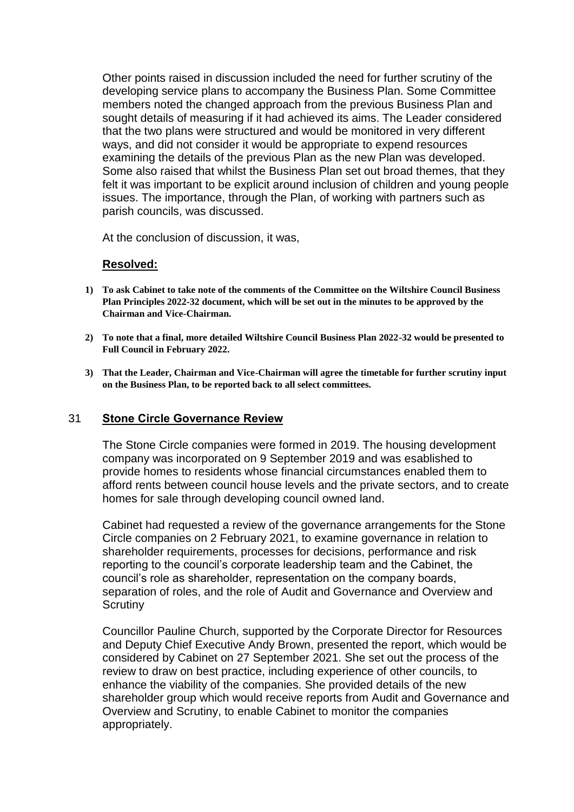Other points raised in discussion included the need for further scrutiny of the developing service plans to accompany the Business Plan. Some Committee members noted the changed approach from the previous Business Plan and sought details of measuring if it had achieved its aims. The Leader considered that the two plans were structured and would be monitored in very different ways, and did not consider it would be appropriate to expend resources examining the details of the previous Plan as the new Plan was developed. Some also raised that whilst the Business Plan set out broad themes, that they felt it was important to be explicit around inclusion of children and young people issues. The importance, through the Plan, of working with partners such as parish councils, was discussed.

At the conclusion of discussion, it was,

## **Resolved:**

- **1) To ask Cabinet to take note of the comments of the Committee on the Wiltshire Council Business Plan Principles 2022-32 document, which will be set out in the minutes to be approved by the Chairman and Vice-Chairman.**
- **2) To note that a final, more detailed Wiltshire Council Business Plan 2022-32 would be presented to Full Council in February 2022.**
- **3) That the Leader, Chairman and Vice-Chairman will agree the timetable for further scrutiny input on the Business Plan, to be reported back to all select committees.**

#### 31 **Stone Circle Governance Review**

The Stone Circle companies were formed in 2019. The housing development company was incorporated on 9 September 2019 and was esablished to provide homes to residents whose financial circumstances enabled them to afford rents between council house levels and the private sectors, and to create homes for sale through developing council owned land.

Cabinet had requested a review of the governance arrangements for the Stone Circle companies on 2 February 2021, to examine governance in relation to shareholder requirements, processes for decisions, performance and risk reporting to the council's corporate leadership team and the Cabinet, the council's role as shareholder, representation on the company boards, separation of roles, and the role of Audit and Governance and Overview and **Scrutiny** 

Councillor Pauline Church, supported by the Corporate Director for Resources and Deputy Chief Executive Andy Brown, presented the report, which would be considered by Cabinet on 27 September 2021. She set out the process of the review to draw on best practice, including experience of other councils, to enhance the viability of the companies. She provided details of the new shareholder group which would receive reports from Audit and Governance and Overview and Scrutiny, to enable Cabinet to monitor the companies appropriately.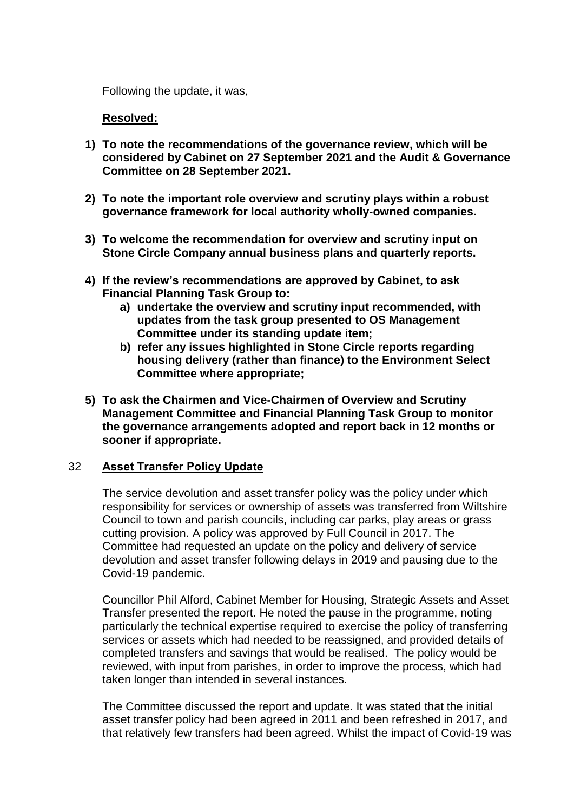Following the update, it was,

## **Resolved:**

- **1) To note the recommendations of the governance review, which will be considered by Cabinet on 27 September 2021 and the Audit & Governance Committee on 28 September 2021.**
- **2) To note the important role overview and scrutiny plays within a robust governance framework for local authority wholly-owned companies.**
- **3) To welcome the recommendation for overview and scrutiny input on Stone Circle Company annual business plans and quarterly reports.**
- **4) If the review's recommendations are approved by Cabinet, to ask Financial Planning Task Group to:**
	- **a) undertake the overview and scrutiny input recommended, with updates from the task group presented to OS Management Committee under its standing update item;**
	- **b) refer any issues highlighted in Stone Circle reports regarding housing delivery (rather than finance) to the Environment Select Committee where appropriate;**
- **5) To ask the Chairmen and Vice-Chairmen of Overview and Scrutiny Management Committee and Financial Planning Task Group to monitor the governance arrangements adopted and report back in 12 months or sooner if appropriate.**

## 32 **Asset Transfer Policy Update**

The service devolution and asset transfer policy was the policy under which responsibility for services or ownership of assets was transferred from Wiltshire Council to town and parish councils, including car parks, play areas or grass cutting provision. A policy was approved by Full Council in 2017. The Committee had requested an update on the policy and delivery of service devolution and asset transfer following delays in 2019 and pausing due to the Covid-19 pandemic.

Councillor Phil Alford, Cabinet Member for Housing, Strategic Assets and Asset Transfer presented the report. He noted the pause in the programme, noting particularly the technical expertise required to exercise the policy of transferring services or assets which had needed to be reassigned, and provided details of completed transfers and savings that would be realised. The policy would be reviewed, with input from parishes, in order to improve the process, which had taken longer than intended in several instances.

The Committee discussed the report and update. It was stated that the initial asset transfer policy had been agreed in 2011 and been refreshed in 2017, and that relatively few transfers had been agreed. Whilst the impact of Covid-19 was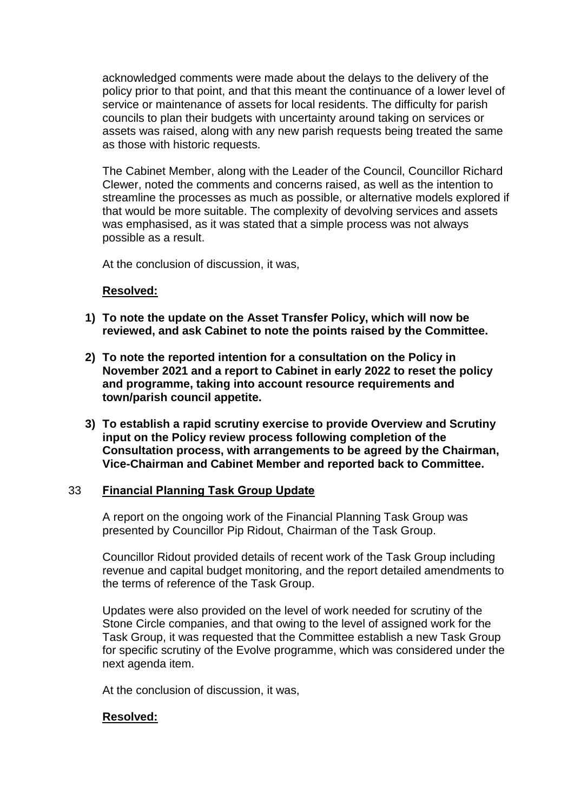acknowledged comments were made about the delays to the delivery of the policy prior to that point, and that this meant the continuance of a lower level of service or maintenance of assets for local residents. The difficulty for parish councils to plan their budgets with uncertainty around taking on services or assets was raised, along with any new parish requests being treated the same as those with historic requests.

The Cabinet Member, along with the Leader of the Council, Councillor Richard Clewer, noted the comments and concerns raised, as well as the intention to streamline the processes as much as possible, or alternative models explored if that would be more suitable. The complexity of devolving services and assets was emphasised, as it was stated that a simple process was not always possible as a result.

At the conclusion of discussion, it was,

### **Resolved:**

- **1) To note the update on the Asset Transfer Policy, which will now be reviewed, and ask Cabinet to note the points raised by the Committee.**
- **2) To note the reported intention for a consultation on the Policy in November 2021 and a report to Cabinet in early 2022 to reset the policy and programme, taking into account resource requirements and town/parish council appetite.**
- **3) To establish a rapid scrutiny exercise to provide Overview and Scrutiny input on the Policy review process following completion of the Consultation process, with arrangements to be agreed by the Chairman, Vice-Chairman and Cabinet Member and reported back to Committee.**

## 33 **Financial Planning Task Group Update**

A report on the ongoing work of the Financial Planning Task Group was presented by Councillor Pip Ridout, Chairman of the Task Group.

Councillor Ridout provided details of recent work of the Task Group including revenue and capital budget monitoring, and the report detailed amendments to the terms of reference of the Task Group.

Updates were also provided on the level of work needed for scrutiny of the Stone Circle companies, and that owing to the level of assigned work for the Task Group, it was requested that the Committee establish a new Task Group for specific scrutiny of the Evolve programme, which was considered under the next agenda item.

At the conclusion of discussion, it was,

## **Resolved:**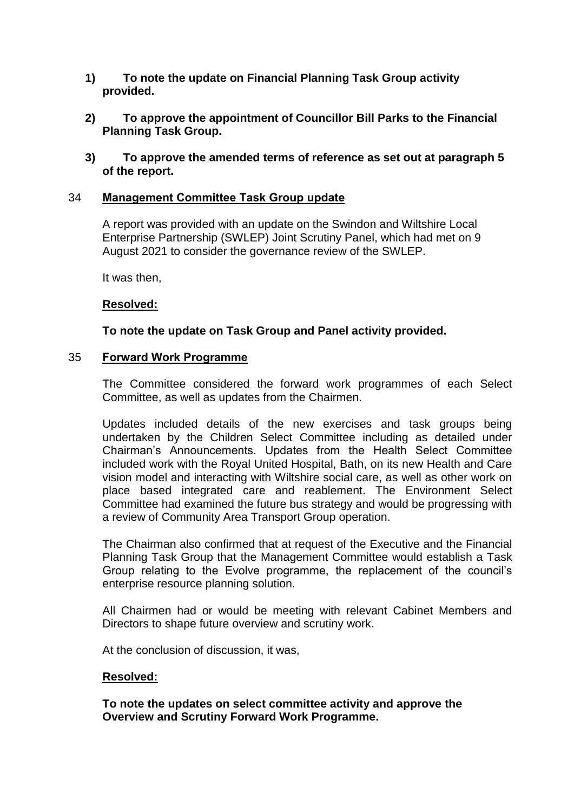- **1) To note the update on Financial Planning Task Group activity provided.**
- **2) To approve the appointment of Councillor Bill Parks to the Financial Planning Task Group.**
- **3) To approve the amended terms of reference as set out at paragraph 5 of the report.**

## 34 **Management Committee Task Group update**

A report was provided with an update on the Swindon and Wiltshire Local Enterprise Partnership (SWLEP) Joint Scrutiny Panel, which had met on 9 August 2021 to consider the governance review of the SWLEP.

It was then,

#### **Resolved:**

### **To note the update on Task Group and Panel activity provided.**

#### 35 **Forward Work Programme**

The Committee considered the forward work programmes of each Select Committee, as well as updates from the Chairmen.

Updates included details of the new exercises and task groups being undertaken by the Children Select Committee including as detailed under Chairman's Announcements. Updates from the Health Select Committee included work with the Royal United Hospital, Bath, on its new Health and Care vision model and interacting with Wiltshire social care, as well as other work on place based integrated care and reablement. The Environment Select Committee had examined the future bus strategy and would be progressing with a review of Community Area Transport Group operation.

The Chairman also confirmed that at request of the Executive and the Financial Planning Task Group that the Management Committee would establish a Task Group relating to the Evolve programme, the replacement of the council's enterprise resource planning solution.

All Chairmen had or would be meeting with relevant Cabinet Members and Directors to shape future overview and scrutiny work.

At the conclusion of discussion, it was,

#### **Resolved:**

**To note the updates on select committee activity and approve the Overview and Scrutiny Forward Work Programme.**